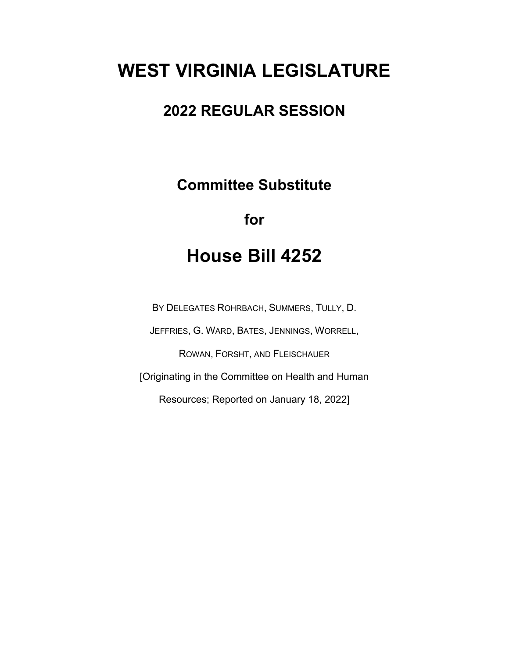# **WEST VIRGINIA LEGISLATURE**

### **2022 REGULAR SESSION**

**Committee Substitute**

**for**

# **House Bill 4252**

BY DELEGATES ROHRBACH, SUMMERS, TULLY, D.

JEFFRIES, G. WARD, BATES, JENNINGS, WORRELL,

ROWAN, FORSHT, AND FLEISCHAUER

[Originating in the Committee on Health and Human

Resources; Reported on January 18, 2022]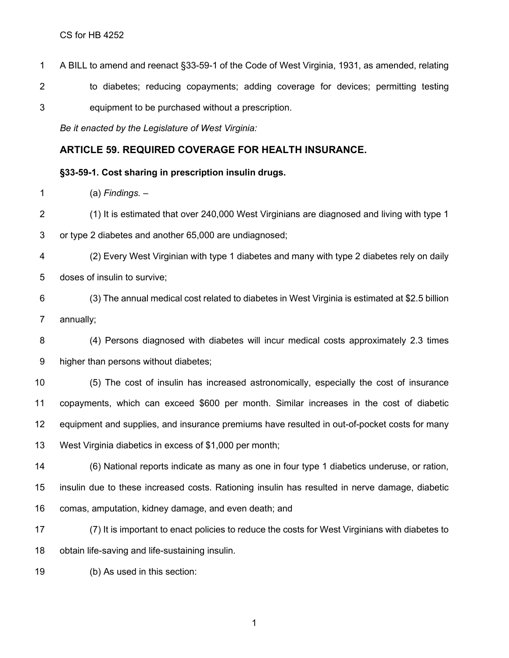- A BILL to amend and reenact §33-59-1 of the Code of West Virginia, 1931, as amended, relating
- to diabetes; reducing copayments; adding coverage for devices; permitting testing equipment to be purchased without a prescription.

*Be it enacted by the Legislature of West Virginia:*

#### **ARTICLE 59. REQUIRED COVERAGE FOR HEALTH INSURANCE.**

#### **§33-59-1. Cost sharing in prescription insulin drugs.**

(a) *Findings. –*

 (1) It is estimated that over 240,000 West Virginians are diagnosed and living with type 1 or type 2 diabetes and another 65,000 are undiagnosed;

- (2) Every West Virginian with type 1 diabetes and many with type 2 diabetes rely on daily doses of insulin to survive;
- (3) The annual medical cost related to diabetes in West Virginia is estimated at \$2.5 billion annually;

 (4) Persons diagnosed with diabetes will incur medical costs approximately 2.3 times higher than persons without diabetes;

 (5) The cost of insulin has increased astronomically, especially the cost of insurance copayments, which can exceed \$600 per month. Similar increases in the cost of diabetic equipment and supplies, and insurance premiums have resulted in out-of-pocket costs for many West Virginia diabetics in excess of \$1,000 per month;

 (6) National reports indicate as many as one in four type 1 diabetics underuse, or ration, insulin due to these increased costs. Rationing insulin has resulted in nerve damage, diabetic comas, amputation, kidney damage, and even death; and

 (7) It is important to enact policies to reduce the costs for West Virginians with diabetes to obtain life-saving and life-sustaining insulin.

(b) As used in this section: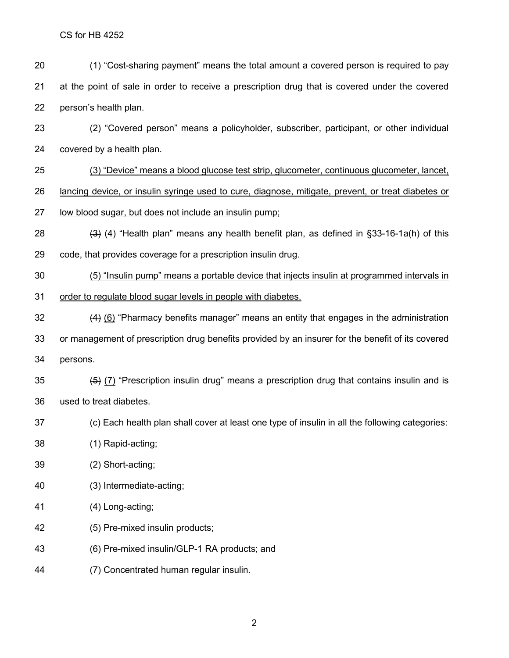- (1) "Cost-sharing payment" means the total amount a covered person is required to pay at the point of sale in order to receive a prescription drug that is covered under the covered person's health plan.
- (2) "Covered person" means a policyholder, subscriber, participant, or other individual covered by a health plan.
- (3) "Device" means a blood glucose test strip, glucometer, continuous glucometer, lancet, lancing device, or insulin syringe used to cure, diagnose, mitigate, prevent, or treat diabetes or low blood sugar, but does not include an insulin pump;
- 28  $(3)$  (4) "Health plan" means any health benefit plan, as defined in §33-16-1a(h) of this code, that provides coverage for a prescription insulin drug.
- (5) "Insulin pump" means a portable device that injects insulin at programmed intervals in
- order to regulate blood sugar levels in people with diabetes.
- (4) (6) "Pharmacy benefits manager" means an entity that engages in the administration or management of prescription drug benefits provided by an insurer for the benefit of its covered persons.
- 35  $(5)$  (7) "Prescription insulin drug" means a prescription drug that contains insulin and is used to treat diabetes.
- (c) Each health plan shall cover at least one type of insulin in all the following categories:
- (1) Rapid-acting;
- (2) Short-acting;
- (3) Intermediate-acting;
- (4) Long-acting;
- (5) Pre-mixed insulin products;
- (6) Pre-mixed insulin/GLP-1 RA products; and
- (7) Concentrated human regular insulin.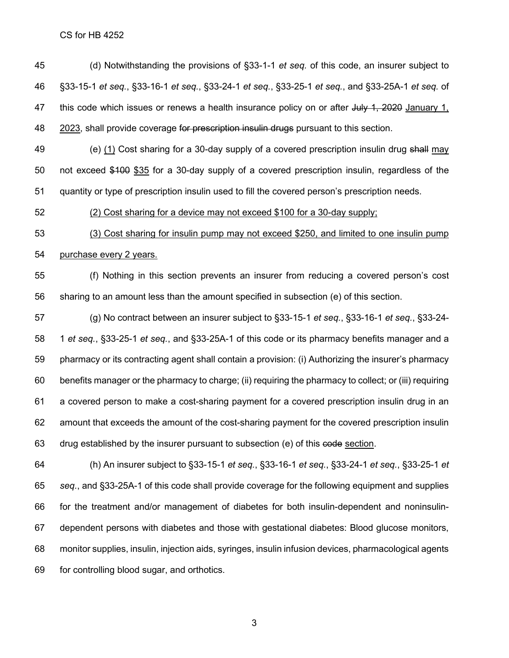CS for HB 4252

- (d) Notwithstanding the provisions of §33-1-1 *et seq.* of this code, an insurer subject to §33-15-1 *et seq.*, §33-16-1 *et seq.*, §33-24-1 *et seq.*, §33-25-1 *et seq.*, and §33-25A-1 *et seq.* of 47 this code which issues or renews a health insurance policy on or after July 1, 2020 January 1, 48 2023, shall provide coverage for prescription insulin drugs pursuant to this section.
- 49 (e) (1) Cost sharing for a 30-day supply of a covered prescription insulin drug shall may not exceed \$100 \$35 for a 30-day supply of a covered prescription insulin, regardless of the quantity or type of prescription insulin used to fill the covered person's prescription needs.
- (2) Cost sharing for a device may not exceed \$100 for a 30-day supply;
- (3) Cost sharing for insulin pump may not exceed \$250, and limited to one insulin pump purchase every 2 years.
- (f) Nothing in this section prevents an insurer from reducing a covered person's cost sharing to an amount less than the amount specified in subsection (e) of this section.
- (g) No contract between an insurer subject to §33-15-1 *et seq.*, §33-16-1 *et seq.*, §33-24- 1 *et seq.*, §33-25-1 *et seq.*, and §33-25A-1 of this code or its pharmacy benefits manager and a pharmacy or its contracting agent shall contain a provision: (i) Authorizing the insurer's pharmacy benefits manager or the pharmacy to charge; (ii) requiring the pharmacy to collect; or (iii) requiring a covered person to make a cost-sharing payment for a covered prescription insulin drug in an amount that exceeds the amount of the cost-sharing payment for the covered prescription insulin drug established by the insurer pursuant to subsection (e) of this code section.
- (h) An insurer subject to §33-15-1 *et seq.*, §33-16-1 *et seq.*, §33-24-1 *et seq.*, §33-25-1 *et seq.*, and §33-25A-1 of this code shall provide coverage for the following equipment and supplies for the treatment and/or management of diabetes for both insulin-dependent and noninsulin- dependent persons with diabetes and those with gestational diabetes: Blood glucose monitors, monitor supplies, insulin, injection aids, syringes, insulin infusion devices, pharmacological agents for controlling blood sugar, and orthotics.
	-